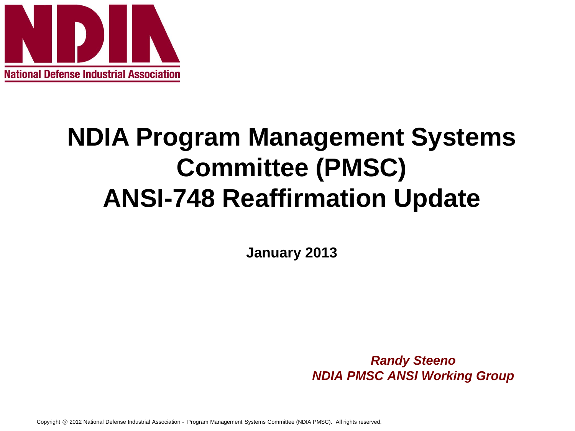

# **NDIA Program Management Systems Committee (PMSC) ANSI-748 Reaffirmation Update**

**January 2013**

*Randy Steeno NDIA PMSC ANSI Working Group*

Copyright @ 2012 National Defense Industrial Association - Program Management Systems Committee (NDIA PMSC). All rights reserved.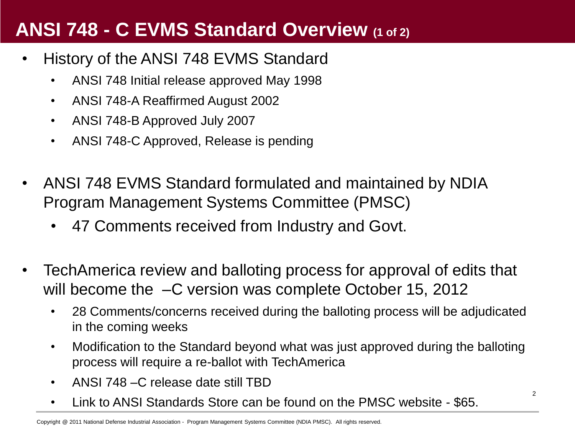#### **ANSI 748 - C EVMS Standard Overview (1 of 2)**

- History of the ANSI 748 EVMS Standard
	- ANSI 748 Initial release approved May 1998
	- ANSI 748-A Reaffirmed August 2002
	- ANSI 748-B Approved July 2007
	- ANSI 748-C Approved, Release is pending
- ANSI 748 EVMS Standard formulated and maintained by NDIA Program Management Systems Committee (PMSC)
	- 47 Comments received from Industry and Govt.
- TechAmerica review and balloting process for approval of edits that will become the  $-C$  version was complete October 15, 2012
	- 28 Comments/concerns received during the balloting process will be adjudicated in the coming weeks
	- Modification to the Standard beyond what was just approved during the balloting process will require a re-ballot with TechAmerica

2

- ANSI 748 C release date still TBD
- Link to ANSI Standards Store can be found on the PMSC website \$65.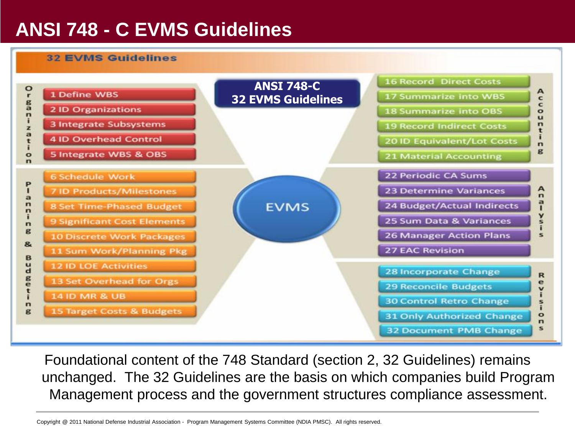### **ANSI 748 - C EVMS Guidelines**

#### **32 EVMS Guidelines**



Foundational content of the 748 Standard (section 2, 32 Guidelines) remains unchanged. The 32 Guidelines are the basis on which companies build Program Management process and the government structures compliance assessment.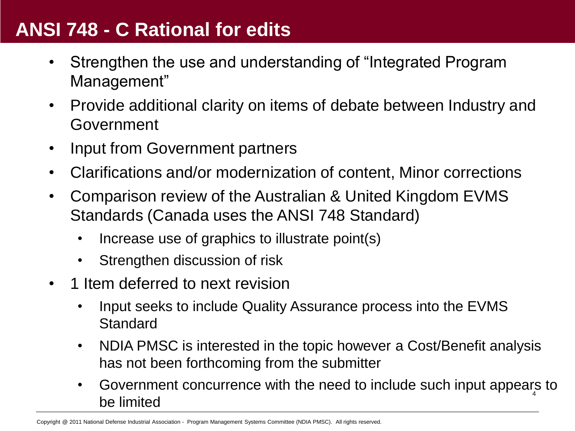#### **ANSI 748 - C Rational for edits**

- Strengthen the use and understanding of "Integrated Program Management"
- Provide additional clarity on items of debate between Industry and Government
- Input from Government partners
- Clarifications and/or modernization of content, Minor corrections
- Comparison review of the Australian & United Kingdom EVMS Standards (Canada uses the ANSI 748 Standard)
	- Increase use of graphics to illustrate point(s)
	- Strengthen discussion of risk
- 1 Item deferred to next revision
	- Input seeks to include Quality Assurance process into the EVMS **Standard**
	- NDIA PMSC is interested in the topic however a Cost/Benefit analysis has not been forthcoming from the submitter
	- Government concurrence with the need to include such input appears to be limited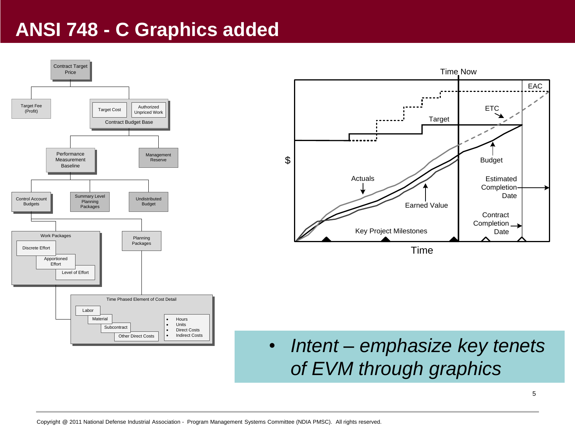#### **ANSI 748 - C Graphics added**

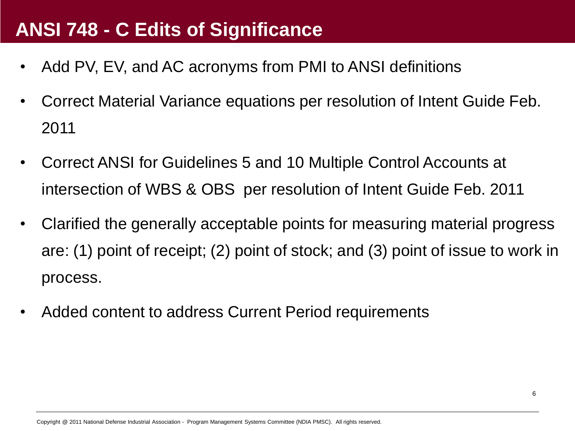#### **ANSI 748 - C Edits of Significance**

- Add PV, EV, and AC acronyms from PMI to ANSI definitions
- Correct Material Variance equations per resolution of Intent Guide Feb. 2011
- Correct ANSI for Guidelines 5 and 10 Multiple Control Accounts at intersection of WBS & OBS per resolution of Intent Guide Feb. 2011
- Clarified the generally acceptable points for measuring material progress are: (1) point of receipt; (2) point of stock; and (3) point of issue to work in process.
- Added content to address Current Period requirements